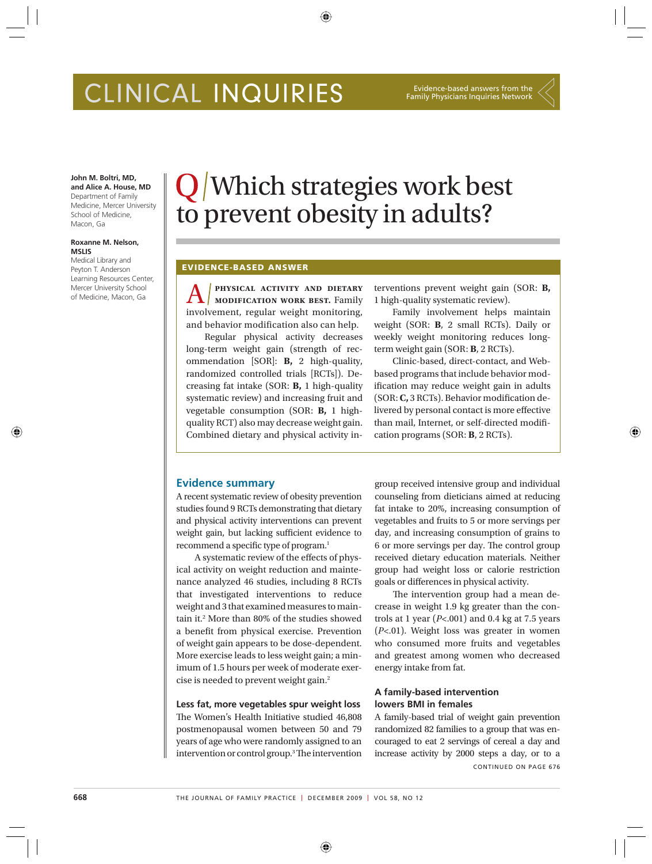# CLINICAL INQUIRIES

#### Evidence-based answers from the Family Physicians Inquiries Network

#### **John M. Boltri, MD, and Alice A. House, MD**

Department of Family Medicine, Mercer University School of Medicine, Macon, Ga

#### **Roxanne M. Nelson, MSLIS**

⊕

Medical Library and Peyton T. Anderson Learning Resources Center, Mercer University School of Medicine, Macon, Ga

# Which strategies work best to prevent obesity in adults?

⊕

### **EVIDENCE-BASED ANSWER**

A **physical activity and dietary modification work best.** Family involvement, regular weight monitoring, and behavior modification also can help.

Regular physical activity decreases long-term weight gain (strength of recommendation [SOR]: **B,** 2 high-quality, randomized controlled trials [RCTs]). Decreasing fat intake (SOR: **B,** 1 high-quality systematic review) and increasing fruit and vegetable consumption (SOR: **B,** 1 highquality RCT) also may decrease weight gain. Combined dietary and physical activity interventions prevent weight gain (SOR: **B,** 1 high-quality systematic review).

Family involvement helps maintain weight (SOR: **B**, 2 small RCTs). Daily or weekly weight monitoring reduces longterm weight gain (SOR: **B**, 2 RCTs).

Clinic-based, direct-contact, and Webbased programs that include behavior modification may reduce weight gain in adults (SOR: C, 3 RCTs). Behavior modification delivered by personal contact is more effective than mail, Internet, or self-directed modification programs (SOR: **B**, 2 RCTs).

⊕

# **Evidence summary**

A recent systematic review of obesity prevention studies found 9 RCTs demonstrating that dietary and physical activity interventions can prevent weight gain, but lacking sufficient evidence to recommend a specific type of program.<sup>1</sup>

A systematic review of the effects of physical activity on weight reduction and maintenance analyzed 46 studies, including 8 RCTs that investigated interventions to reduce weight and 3 that examined measures to maintain it.2 More than 80% of the studies showed a benefit from physical exercise. Prevention of weight gain appears to be dose-dependent. More exercise leads to less weight gain; a minimum of 1.5 hours per week of moderate exercise is needed to prevent weight gain.2

**Less fat, more vegetables spur weight loss** The Women's Health Initiative studied 46,808 postmenopausal women between 50 and 79 years of age who were randomly assigned to an intervention or control group.<sup>3</sup> The intervention group received intensive group and individual counseling from dieticians aimed at reducing fat intake to 20%, increasing consumption of vegetables and fruits to 5 or more servings per day, and increasing consumption of grains to 6 or more servings per day. The control group received dietary education materials. Neither group had weight loss or calorie restriction goals or differences in physical activity.

The intervention group had a mean decrease in weight 1.9 kg greater than the controls at 1 year (*P*<.001) and 0.4 kg at 7.5 years (*P*<.01). Weight loss was greater in women who consumed more fruits and vegetables and greatest among women who decreased energy intake from fat.

# **A family-based intervention lowers BMI in females**

A family-based trial of weight gain prevention randomized 82 families to a group that was encouraged to eat 2 servings of cereal a day and increase activity by 2000 steps a day, or to a CONTINUED ON PAGE 676

⊕